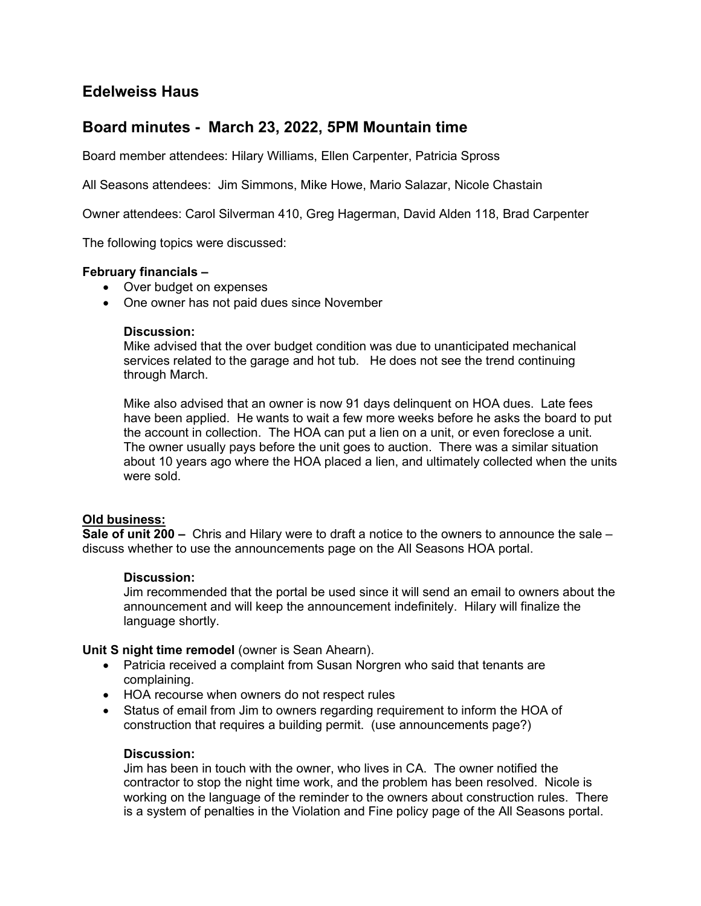# Edelweiss Haus

## Board minutes - March 23, 2022, 5PM Mountain time

Board member attendees: Hilary Williams, Ellen Carpenter, Patricia Spross

All Seasons attendees: Jim Simmons, Mike Howe, Mario Salazar, Nicole Chastain

Owner attendees: Carol Silverman 410, Greg Hagerman, David Alden 118, Brad Carpenter

The following topics were discussed:

## February financials –

- Over budget on expenses
- One owner has not paid dues since November

#### Discussion:

Mike advised that the over budget condition was due to unanticipated mechanical services related to the garage and hot tub. He does not see the trend continuing through March.

Mike also advised that an owner is now 91 days delinquent on HOA dues. Late fees have been applied. He wants to wait a few more weeks before he asks the board to put the account in collection. The HOA can put a lien on a unit, or even foreclose a unit. The owner usually pays before the unit goes to auction. There was a similar situation about 10 years ago where the HOA placed a lien, and ultimately collected when the units were sold.

## Old business:

Sale of unit 200 – Chris and Hilary were to draft a notice to the owners to announce the sale – discuss whether to use the announcements page on the All Seasons HOA portal.

## Discussion:

Jim recommended that the portal be used since it will send an email to owners about the announcement and will keep the announcement indefinitely. Hilary will finalize the language shortly.

Unit S night time remodel (owner is Sean Ahearn).

- Patricia received a complaint from Susan Norgren who said that tenants are complaining.
- HOA recourse when owners do not respect rules
- Status of email from Jim to owners regarding requirement to inform the HOA of construction that requires a building permit. (use announcements page?)

#### Discussion:

Jim has been in touch with the owner, who lives in CA. The owner notified the contractor to stop the night time work, and the problem has been resolved. Nicole is working on the language of the reminder to the owners about construction rules. There is a system of penalties in the Violation and Fine policy page of the All Seasons portal.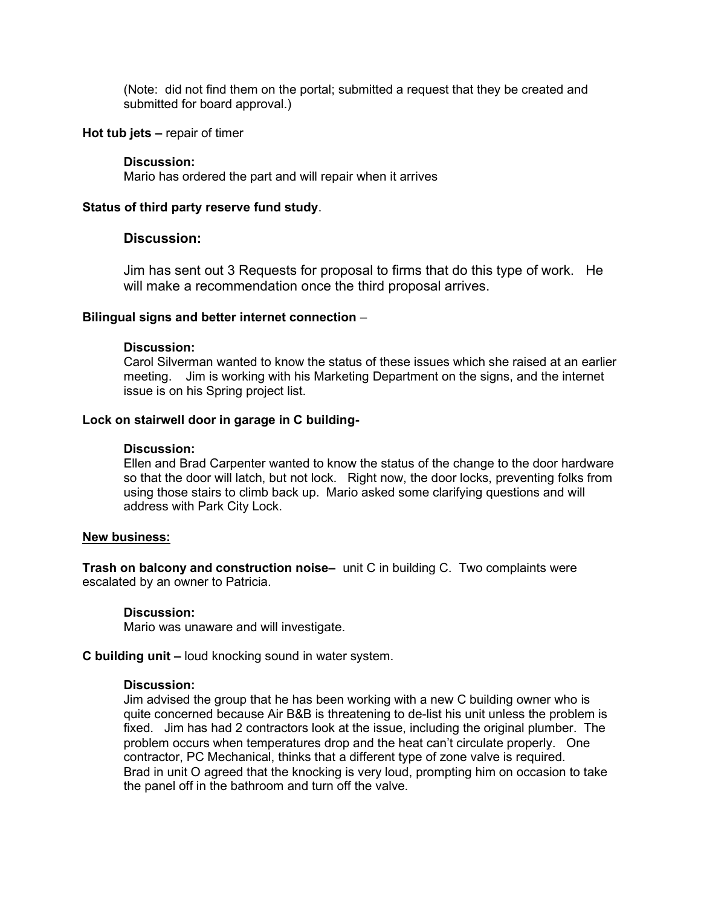(Note: did not find them on the portal; submitted a request that they be created and submitted for board approval.)

#### Hot tub jets – repair of timer

#### Discussion:

Mario has ordered the part and will repair when it arrives

## Status of third party reserve fund study.

## Discussion:

Jim has sent out 3 Requests for proposal to firms that do this type of work. He will make a recommendation once the third proposal arrives.

## Bilingual signs and better internet connection –

#### Discussion:

Carol Silverman wanted to know the status of these issues which she raised at an earlier meeting. Jim is working with his Marketing Department on the signs, and the internet issue is on his Spring project list.

## Lock on stairwell door in garage in C building-

## Discussion:

Ellen and Brad Carpenter wanted to know the status of the change to the door hardware so that the door will latch, but not lock. Right now, the door locks, preventing folks from using those stairs to climb back up. Mario asked some clarifying questions and will address with Park City Lock.

## New business:

Trash on balcony and construction noise– unit C in building C. Two complaints were escalated by an owner to Patricia.

## Discussion:

Mario was unaware and will investigate.

C building unit – loud knocking sound in water system.

#### Discussion:

Jim advised the group that he has been working with a new C building owner who is quite concerned because Air B&B is threatening to de-list his unit unless the problem is fixed. Jim has had 2 contractors look at the issue, including the original plumber. The problem occurs when temperatures drop and the heat can't circulate properly. One contractor, PC Mechanical, thinks that a different type of zone valve is required. Brad in unit O agreed that the knocking is very loud, prompting him on occasion to take the panel off in the bathroom and turn off the valve.